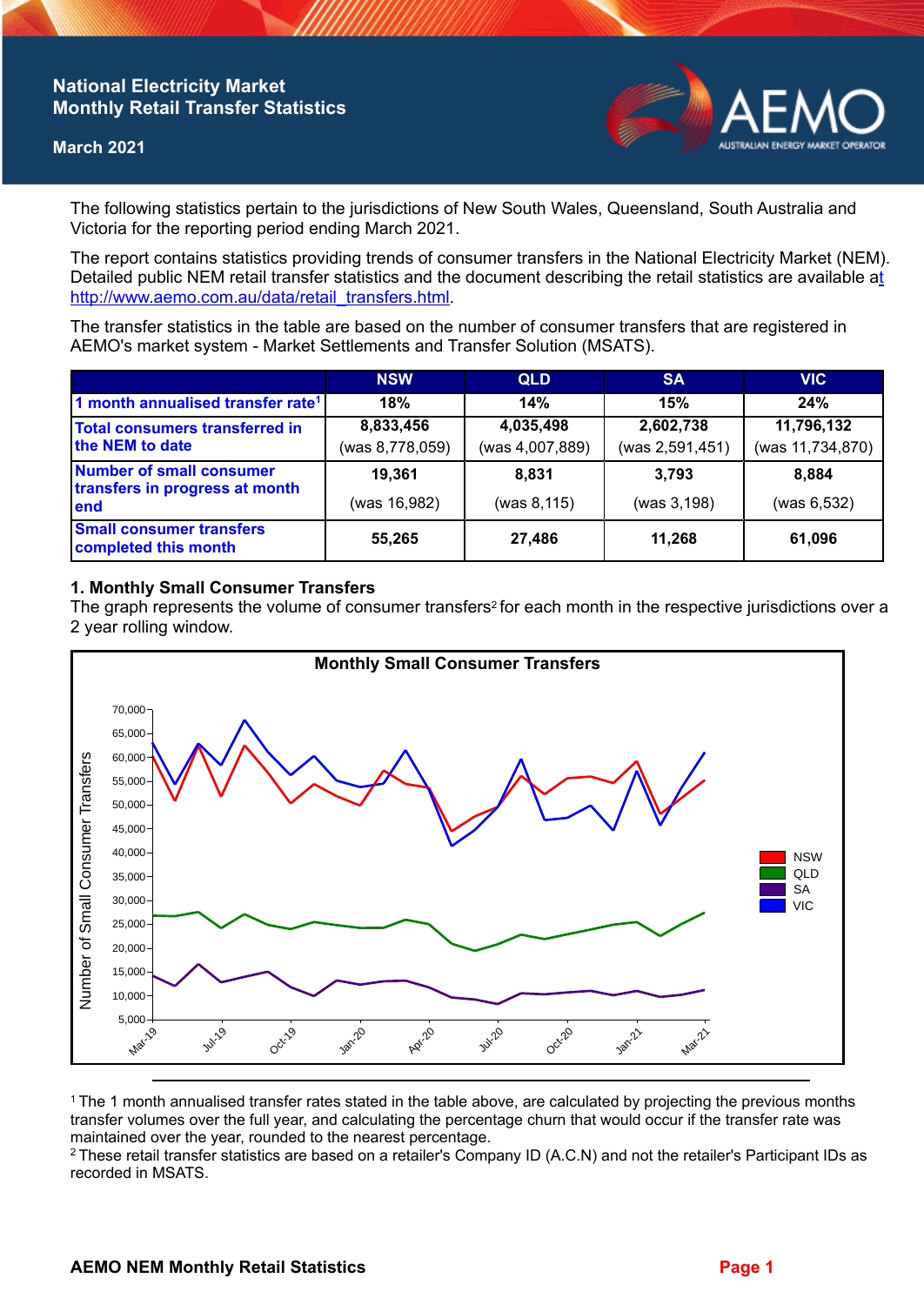## **National Electricity Market Monthly Retail Transfer Statistics**

#### **March 2021**



The following statistics pertain to the jurisdictions of New South Wales, Queensland, South Australia and Victoria for the reporting period ending March 2021.

The report contains statistics providing trends of consumer transfers in the National Electricity Market (NEM). Detailed public NEM retail transfer statistics and the document describing the retail statistics are available a[t](http://www.aemo.com.au/data/retail_transfers.html)  http://www.aemo.com.au/data/retail\_transfers.html

The transfer statistics in the table are based on the number of consumer transfers that are registered in AEMO's market system - Market Settlements and Transfer Solution (MSATS).

|                                                                           | <b>NSW</b>      | <b>QLD</b>      | <b>SA</b>       | <b>VIC</b>       |
|---------------------------------------------------------------------------|-----------------|-----------------|-----------------|------------------|
| 1 month annualised transfer rate <sup>1</sup>                             | 18%             | 14%             | 15%             | 24%              |
| Total consumers transferred in<br>the NEM to date                         | 8,833,456       | 4,035,498       | 2,602,738       | 11,796,132       |
|                                                                           | (was 8,778,059) | (was 4,007,889) | (was 2,591,451) | (was 11,734,870) |
| <b>Number of small consumer</b><br>transfers in progress at month<br>lend | 19.361          | 8.831           | 3.793           | 8.884            |
|                                                                           | (was 16,982)    | (was 8,115)     | (was 3,198)     | (was 6,532)      |
| <b>Small consumer transfers</b><br>completed this month                   | 55,265          | 27,486          | 11.268          | 61,096           |

### **1. Monthly Small Consumer Transfers**

The graph represents the volume of consumer transfers<sup>2</sup> for each month in the respective jurisdictions over a 2 year rolling window.



<sup>1</sup>The 1 month annualised transfer rates stated in the table above, are calculated by projecting the previous months transfer volumes over the full year, and calculating the percentage churn that would occur if the transfer rate was maintained over the year, rounded to the nearest percentage.

<sup>2</sup> These retail transfer statistics are based on a retailer's Company ID (A.C.N) and not the retailer's Participant IDs as recorded in MSATS.